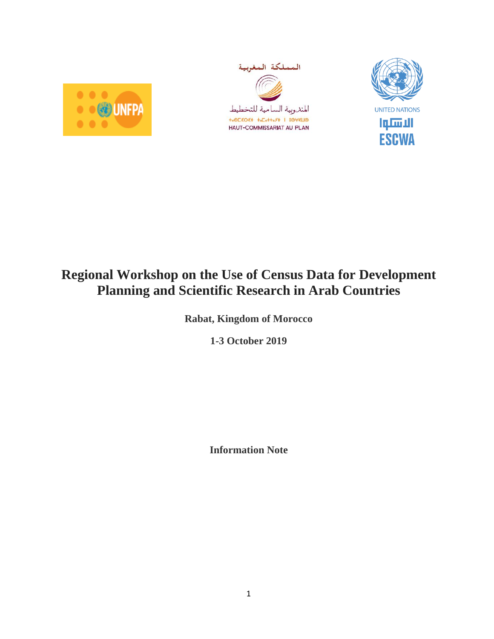





# **Regional Workshop on the Use of Census Data for Development Planning and Scientific Research in Arab Countries**

**Rabat, Kingdom of Morocco**

**1-3 October 2019**

**Information Note**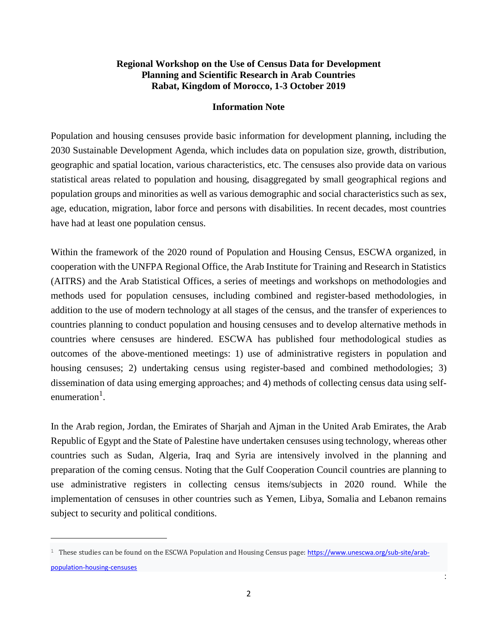# **Regional Workshop on the Use of Census Data for Development Planning and Scientific Research in Arab Countries Rabat, Kingdom of Morocco, 1-3 October 2019**

#### **Information Note**

Population and housing censuses provide basic information for development planning, including the 2030 Sustainable Development Agenda, which includes data on population size, growth, distribution, geographic and spatial location, various characteristics, etc. The censuses also provide data on various statistical areas related to population and housing, disaggregated by small geographical regions and population groups and minorities as well as various demographic and social characteristics such as sex, age, education, migration, labor force and persons with disabilities. In recent decades, most countries have had at least one population census.

Within the framework of the 2020 round of Population and Housing Census, ESCWA organized, in cooperation with the UNFPA Regional Office, the Arab Institute for Training and Research in Statistics (AITRS) and the Arab Statistical Offices, a series of meetings and workshops on methodologies and methods used for population censuses, including combined and register-based methodologies, in addition to the use of modern technology at all stages of the census, and the transfer of experiences to countries planning to conduct population and housing censuses and to develop alternative methods in countries where censuses are hindered. ESCWA has published four methodological studies as outcomes of the above-mentioned meetings: 1) use of administrative registers in population and housing censuses; 2) undertaking census using register-based and combined methodologies; 3) dissemination of data using emerging approaches; and 4) methods of collecting census data using selfenumeration<sup>1</sup>.

In the Arab region, Jordan, the Emirates of Sharjah and Ajman in the United Arab Emirates, the Arab Republic of Egypt and the State of Palestine have undertaken censuses using technology, whereas other countries such as Sudan, Algeria, Iraq and Syria are intensively involved in the planning and preparation of the coming census. Noting that the Gulf Cooperation Council countries are planning to use administrative registers in collecting census items/subjects in 2020 round. While the implementation of censuses in other countries such as Yemen, Libya, Somalia and Lebanon remains subject to security and political conditions.

 $\overline{\phantom{a}}$ 

:

<sup>&</sup>lt;sup>1</sup> These studies can be found on the ESCWA Population and Housing Census page: [https://www.unescwa.org/sub-site/arab](https://www.unescwa.org/sub-site/arab-population-housing-censuses)[population-housing-censuses](https://www.unescwa.org/sub-site/arab-population-housing-censuses)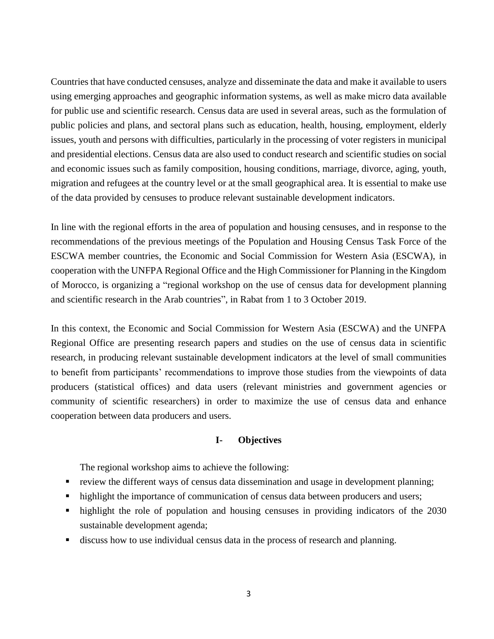Countries that have conducted censuses, analyze and disseminate the data and make it available to users using emerging approaches and geographic information systems, as well as make micro data available for public use and scientific research. Census data are used in several areas, such as the formulation of public policies and plans, and sectoral plans such as education, health, housing, employment, elderly issues, youth and persons with difficulties, particularly in the processing of voter registers in municipal and presidential elections. Census data are also used to conduct research and scientific studies on social and economic issues such as family composition, housing conditions, marriage, divorce, aging, youth, migration and refugees at the country level or at the small geographical area. It is essential to make use of the data provided by censuses to produce relevant sustainable development indicators.

In line with the regional efforts in the area of population and housing censuses, and in response to the recommendations of the previous meetings of the Population and Housing Census Task Force of the ESCWA member countries, the Economic and Social Commission for Western Asia (ESCWA), in cooperation with the UNFPA Regional Office and the High Commissioner for Planning in the Kingdom of Morocco, is organizing a "regional workshop on the use of census data for development planning and scientific research in the Arab countries", in Rabat from 1 to 3 October 2019.

In this context, the Economic and Social Commission for Western Asia (ESCWA) and the UNFPA Regional Office are presenting research papers and studies on the use of census data in scientific research, in producing relevant sustainable development indicators at the level of small communities to benefit from participants' recommendations to improve those studies from the viewpoints of data producers (statistical offices) and data users (relevant ministries and government agencies or community of scientific researchers) in order to maximize the use of census data and enhance cooperation between data producers and users.

## **I- Objectives**

The regional workshop aims to achieve the following:

- review the different ways of census data dissemination and usage in development planning;
- highlight the importance of communication of census data between producers and users;
- highlight the role of population and housing censuses in providing indicators of the 2030 sustainable development agenda;
- discuss how to use individual census data in the process of research and planning.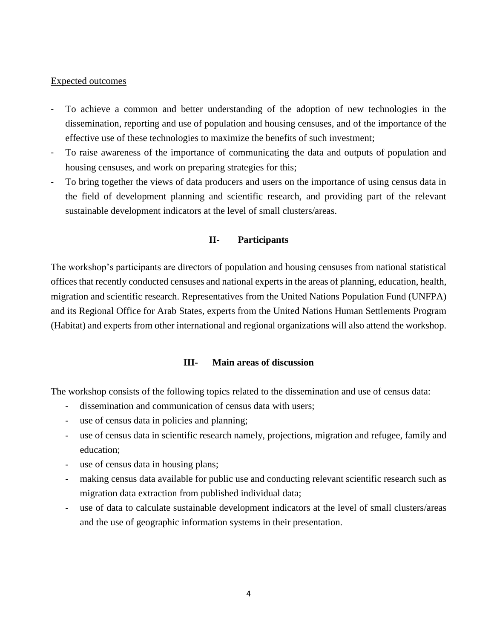#### Expected outcomes

- To achieve a common and better understanding of the adoption of new technologies in the dissemination, reporting and use of population and housing censuses, and of the importance of the effective use of these technologies to maximize the benefits of such investment;
- To raise awareness of the importance of communicating the data and outputs of population and housing censuses, and work on preparing strategies for this;
- To bring together the views of data producers and users on the importance of using census data in the field of development planning and scientific research, and providing part of the relevant sustainable development indicators at the level of small clusters/areas.

# **II- Participants**

The workshop's participants are directors of population and housing censuses from national statistical offices that recently conducted censuses and national experts in the areas of planning, education, health, migration and scientific research. Representatives from the United Nations Population Fund (UNFPA) and its Regional Office for Arab States, experts from the United Nations Human Settlements Program (Habitat) and experts from other international and regional organizations will also attend the workshop.

## **III- Main areas of discussion**

The workshop consists of the following topics related to the dissemination and use of census data:

- dissemination and communication of census data with users;
- use of census data in policies and planning;
- use of census data in scientific research namely, projections, migration and refugee, family and education;
- use of census data in housing plans;
- making census data available for public use and conducting relevant scientific research such as migration data extraction from published individual data;
- use of data to calculate sustainable development indicators at the level of small clusters/areas and the use of geographic information systems in their presentation.